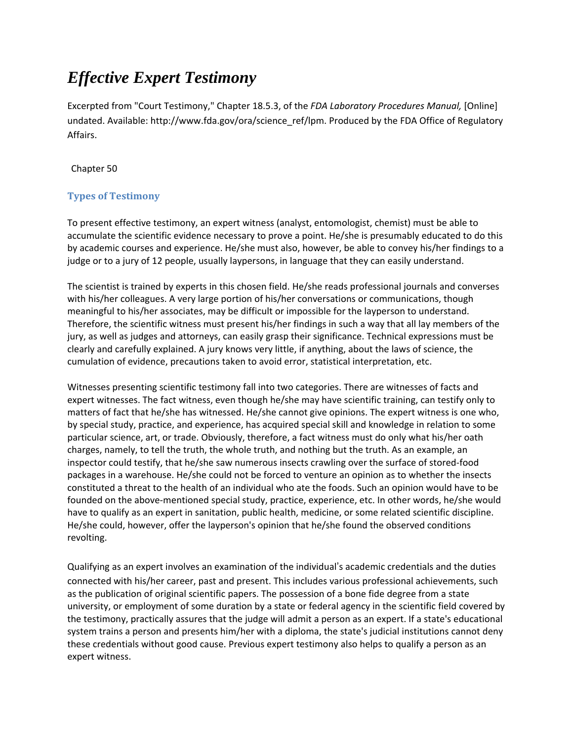# *Effective Expert Testimony*

Excerpted from "Court Testimony," Chapter 18.5.3, of the *FDA Laboratory Procedures Manual,* [Online] undated. Available: http://www.fda.gov/ora/science\_ref/lpm. Produced by the FDA Office of Regulatory Affairs.

# Chapter 50

# **Types of Testimony**

To present effective testimony, an expert witness (analyst, entomologist, chemist) must be able to accumulate the scientific evidence necessary to prove a point. He/she is presumably educated to do this by academic courses and experience. He/she must also, however, be able to convey his/her findings to a judge or to a jury of 12 people, usually laypersons, in language that they can easily understand.

The scientist is trained by experts in this chosen field. He/she reads professional journals and converses with his/her colleagues. A very large portion of his/her conversations or communications, though meaningful to his/her associates, may be difficult or impossible for the layperson to understand. Therefore, the scientific witness must present his/her findings in such a way that all lay members of the jury, as well as judges and attorneys, can easily grasp their significance. Technical expressions must be clearly and carefully explained. A jury knows very little, if anything, about the laws of science, the cumulation of evidence, precautions taken to avoid error, statistical interpretation, etc.

Witnesses presenting scientific testimony fall into two categories. There are witnesses of facts and expert witnesses. The fact witness, even though he/she may have scientific training, can testify only to matters of fact that he/she has witnessed. He/she cannot give opinions. The expert witness is one who, by special study, practice, and experience, has acquired special skill and knowledge in relation to some particular science, art, or trade. Obviously, therefore, a fact witness must do only what his/her oath charges, namely, to tell the truth, the whole truth, and nothing but the truth. As an example, an inspector could testify, that he/she saw numerous insects crawling over the surface of stored‐food packages in a warehouse. He/she could not be forced to venture an opinion as to whether the insects constituted a threat to the health of an individual who ate the foods. Such an opinion would have to be founded on the above‐mentioned special study, practice, experience, etc. In other words, he/she would have to qualify as an expert in sanitation, public health, medicine, or some related scientific discipline. He/she could, however, offer the layperson's opinion that he/she found the observed conditions revolting.

Qualifying as an expert involves an examination of the individual's academic credentials and the duties connected with his/her career, past and present. This includes various professional achievements, such as the publication of original scientific papers. The possession of a bone fide degree from a state university, or employment of some duration by a state or federal agency in the scientific field covered by the testimony, practically assures that the judge will admit a person as an expert. If a state's educational system trains a person and presents him/her with a diploma, the state's judicial institutions cannot deny these credentials without good cause. Previous expert testimony also helps to qualify a person as an expert witness.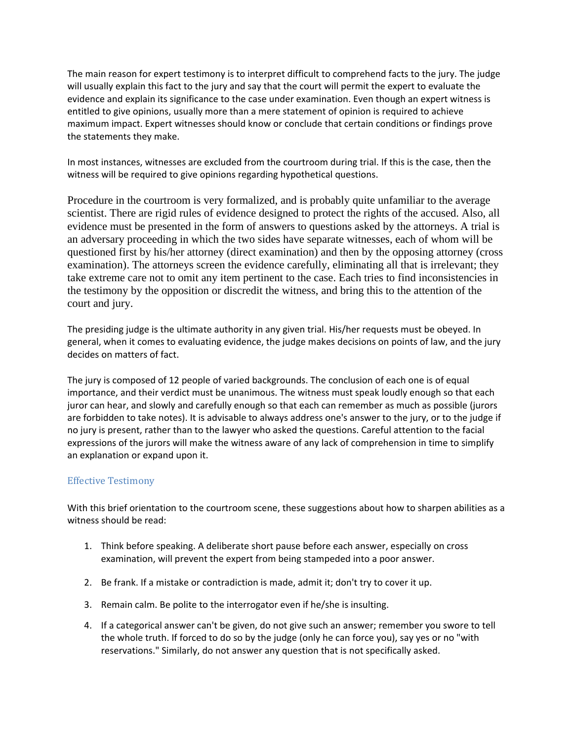The main reason for expert testimony is to interpret difficult to comprehend facts to the jury. The judge will usually explain this fact to the jury and say that the court will permit the expert to evaluate the evidence and explain its significance to the case under examination. Even though an expert witness is entitled to give opinions, usually more than a mere statement of opinion is required to achieve maximum impact. Expert witnesses should know or conclude that certain conditions or findings prove the statements they make.

In most instances, witnesses are excluded from the courtroom during trial. If this is the case, then the witness will be required to give opinions regarding hypothetical questions.

Procedure in the courtroom is very formalized, and is probably quite unfamiliar to the average scientist. There are rigid rules of evidence designed to protect the rights of the accused. Also, all evidence must be presented in the form of answers to questions asked by the attorneys. A trial is an adversary proceeding in which the two sides have separate witnesses, each of whom will be questioned first by his/her attorney (direct examination) and then by the opposing attorney (cross examination). The attorneys screen the evidence carefully, eliminating all that is irrelevant; they take extreme care not to omit any item pertinent to the case. Each tries to find inconsistencies in the testimony by the opposition or discredit the witness, and bring this to the attention of the court and jury.

The presiding judge is the ultimate authority in any given trial. His/her requests must be obeyed. In general, when it comes to evaluating evidence, the judge makes decisions on points of law, and the jury decides on matters of fact.

The jury is composed of 12 people of varied backgrounds. The conclusion of each one is of equal importance, and their verdict must be unanimous. The witness must speak loudly enough so that each juror can hear, and slowly and carefully enough so that each can remember as much as possible (jurors are forbidden to take notes). It is advisable to always address one's answer to the jury, or to the judge if no jury is present, rather than to the lawyer who asked the questions. Careful attention to the facial expressions of the jurors will make the witness aware of any lack of comprehension in time to simplify an explanation or expand upon it.

# Effective Testimony

With this brief orientation to the courtroom scene, these suggestions about how to sharpen abilities as a witness should be read:

- 1. Think before speaking. A deliberate short pause before each answer, especially on cross examination, will prevent the expert from being stampeded into a poor answer.
- 2. Be frank. If a mistake or contradiction is made, admit it; don't try to cover it up.
- 3. Remain calm. Be polite to the interrogator even if he/she is insulting.
- 4. If a categorical answer can't be given, do not give such an answer; remember you swore to tell the whole truth. If forced to do so by the judge (only he can force you), say yes or no "with reservations." Similarly, do not answer any question that is not specifically asked.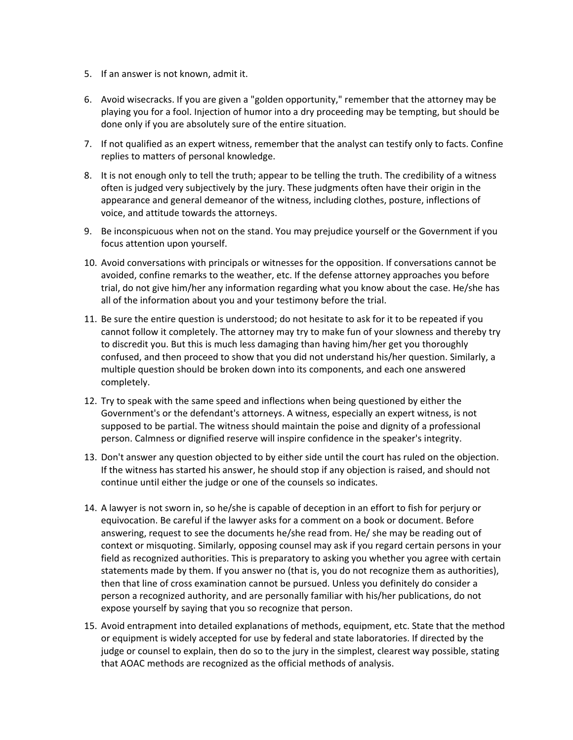- 5. If an answer is not known, admit it.
- 6. Avoid wisecracks. If you are given a "golden opportunity," remember that the attorney may be playing you for a fool. Injection of humor into a dry proceeding may be tempting, but should be done only if you are absolutely sure of the entire situation.
- 7. If not qualified as an expert witness, remember that the analyst can testify only to facts. Confine replies to matters of personal knowledge.
- 8. It is not enough only to tell the truth; appear to be telling the truth. The credibility of a witness often is judged very subjectively by the jury. These judgments often have their origin in the appearance and general demeanor of the witness, including clothes, posture, inflections of voice, and attitude towards the attorneys.
- 9. Be inconspicuous when not on the stand. You may prejudice yourself or the Government if you focus attention upon yourself.
- 10. Avoid conversations with principals or witnesses for the opposition. If conversations cannot be avoided, confine remarks to the weather, etc. If the defense attorney approaches you before trial, do not give him/her any information regarding what you know about the case. He/she has all of the information about you and your testimony before the trial.
- 11. Be sure the entire question is understood; do not hesitate to ask for it to be repeated if you cannot follow it completely. The attorney may try to make fun of your slowness and thereby try to discredit you. But this is much less damaging than having him/her get you thoroughly confused, and then proceed to show that you did not understand his/her question. Similarly, a multiple question should be broken down into its components, and each one answered completely.
- 12. Try to speak with the same speed and inflections when being questioned by either the Government's or the defendant's attorneys. A witness, especially an expert witness, is not supposed to be partial. The witness should maintain the poise and dignity of a professional person. Calmness or dignified reserve will inspire confidence in the speaker's integrity.
- 13. Don't answer any question objected to by either side until the court has ruled on the objection. If the witness has started his answer, he should stop if any objection is raised, and should not continue until either the judge or one of the counsels so indicates.
- 14. A lawyer is not sworn in, so he/she is capable of deception in an effort to fish for perjury or equivocation. Be careful if the lawyer asks for a comment on a book or document. Before answering, request to see the documents he/she read from. He/ she may be reading out of context or misquoting. Similarly, opposing counsel may ask if you regard certain persons in your field as recognized authorities. This is preparatory to asking you whether you agree with certain statements made by them. If you answer no (that is, you do not recognize them as authorities), then that line of cross examination cannot be pursued. Unless you definitely do consider a person a recognized authority, and are personally familiar with his/her publications, do not expose yourself by saying that you so recognize that person.
- 15. Avoid entrapment into detailed explanations of methods, equipment, etc. State that the method or equipment is widely accepted for use by federal and state laboratories. If directed by the judge or counsel to explain, then do so to the jury in the simplest, clearest way possible, stating that AOAC methods are recognized as the official methods of analysis.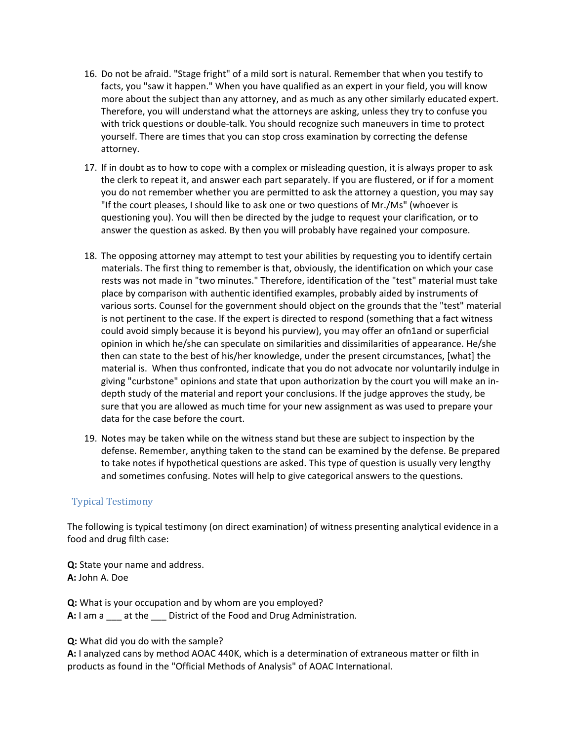- 16. Do not be afraid. "Stage fright" of a mild sort is natural. Remember that when you testify to facts, you "saw it happen." When you have qualified as an expert in your field, you will know more about the subject than any attorney, and as much as any other similarly educated expert. Therefore, you will understand what the attorneys are asking, unless they try to confuse you with trick questions or double-talk. You should recognize such maneuvers in time to protect yourself. There are times that you can stop cross examination by correcting the defense attorney.
- 17. If in doubt as to how to cope with a complex or misleading question, it is always proper to ask the clerk to repeat it, and answer each part separately. If you are flustered, or if for a moment you do not remember whether you are permitted to ask the attorney a question, you may say "If the court pleases, I should like to ask one or two questions of Mr./Ms" (whoever is questioning you). You will then be directed by the judge to request your clarification, or to answer the question as asked. By then you will probably have regained your composure.
- 18. The opposing attorney may attempt to test your abilities by requesting you to identify certain materials. The first thing to remember is that, obviously, the identification on which your case rests was not made in "two minutes." Therefore, identification of the "test" material must take place by comparison with authentic identified examples, probably aided by instruments of various sorts. Counsel for the government should object on the grounds that the "test" material is not pertinent to the case. If the expert is directed to respond (something that a fact witness could avoid simply because it is beyond his purview), you may offer an ofn1and or superficial opinion in which he/she can speculate on similarities and dissimilarities of appearance. He/she then can state to the best of his/her knowledge, under the present circumstances, [what] the material is. When thus confronted, indicate that you do not advocate nor voluntarily indulge in giving "curbstone" opinions and state that upon authorization by the court you will make an in‐ depth study of the material and report your conclusions. If the judge approves the study, be sure that you are allowed as much time for your new assignment as was used to prepare your data for the case before the court.
- 19. Notes may be taken while on the witness stand but these are subject to inspection by the defense. Remember, anything taken to the stand can be examined by the defense. Be prepared to take notes if hypothetical questions are asked. This type of question is usually very lengthy and sometimes confusing. Notes will help to give categorical answers to the questions.

# Typical Testimony

The following is typical testimony (on direct examination) of witness presenting analytical evidence in a food and drug filth case:

**Q:** State your name and address. **A:** John A. Doe

**Q:** What is your occupation and by whom are you employed? **A:** I am a \_\_\_ at the \_\_\_ District of the Food and Drug Administration.

**Q:** What did you do with the sample?

**A:** I analyzed cans by method AOAC 440K, which is a determination of extraneous matter or filth in products as found in the "Official Methods of Analysis" of AOAC International.